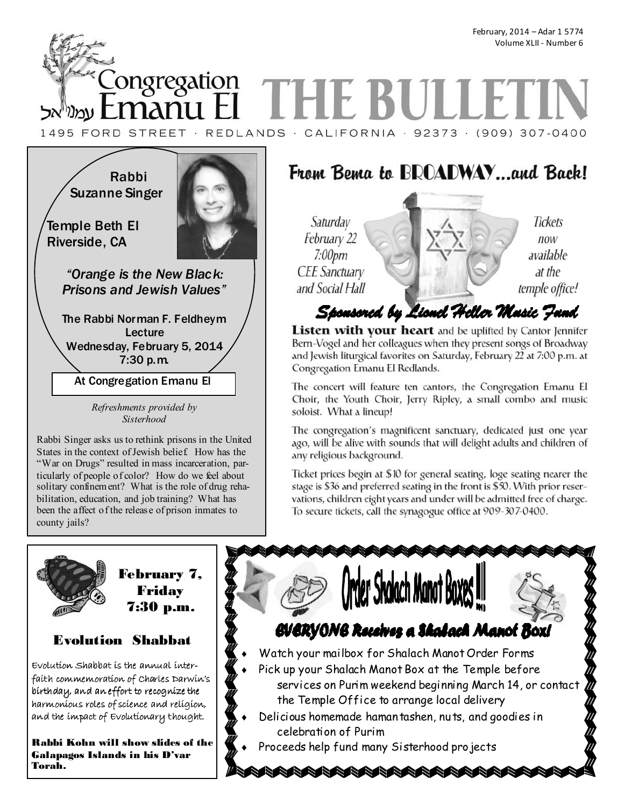<u>Songregation</u> **THE BUI** manu I ∣ עמנייאל 1495 FORD STREET · REDLANDS · CALIFORNIA · 92373 · (909) 307-0400

Rabbi Suzanne Singer



Temple Beth El Riverside, CA

> *"Orange is the New Black: Prisons and Jewish Values"*

The Rabbi Norman F. Feldheym Lecture Wednesday, February 5, 2014 7:30 p.m.

At Congregation Emanu El

*Refreshments provided by Sisterhood* 

Rabbi Singer asks us to rethink prisons in the United States in the context of Jewish belief. How has the "War on Drugs" resulted in mass incarceration, particularly of people of color? How do we feel about solitary confinement? What is the role of drug rehabilitation, education, and job training? What has been the affect of the release of prison inmates to county jails?

# From Bema to BROADWAY...and Back!

Saturday February 22  $7:00$ pm **CEE** Sanctuary and Social Hall

Tickets  $now$ available at the temple office!

# Sponsored by Lionel Heller Masic Jand

Listen with your heart and be uplifted by Cantor Jennifer Bern-Vogel and her colleagues when they present songs of Broadway and Jewish liturgical favorites on Saturday, February 22 at 7:00 p.m. at Congregation Emanu El Redlands.

The concert will feature ten cantors, the Congregation Emanu El Choir, the Youth Choir, Jerry Ripley, a small combo and music soloist. What a lineup!

The congregation's magnificent sanctuary, dedicated just one year ago, will be alive with sounds that will delight adults and children of any religious background.

Ticket prices begin at \$10 for general seating, loge seating nearer the stage is \$36 and preferred seating in the front is \$50. With prior reservations, children eight years and under will be admitted free of charge. To secure tickets, call the synagogue office at 909-307-0400.





February 7, Friday

# Evolution Shabbat

 $E$ volution  $Shabb$ at is the annual interfaith commemoration of Charles Darwin's birthday, and an effort to recognize the harmonious roles of science and religion, and the impact of Evolutionary thought.

Rabbi Kohn will show slides of the Galapagos Islands in his D'var Torah.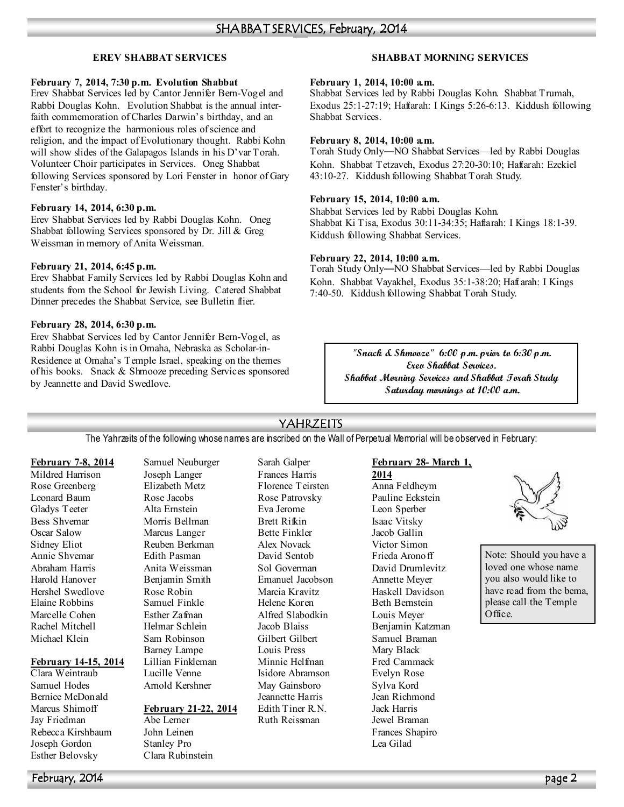### **EREV SHABBAT SERVICES**

#### **February 7, 2014, 7:30 p.m. Evolution Shabbat**

Erev Shabbat Services led by Cantor Jennifer Bern-Vogel and Rabbi Douglas Kohn. Evolution Shabbat is the annual interfaith commemoration of Charles Darwin's birthday, and an effort to recognize the harmonious roles of science and religion, and the impact of Evolutionary thought. Rabbi Kohn will show slides of the Galapagos Islands in his D'var Torah. Volunteer Choir participates in Services. Oneg Shabbat following Services sponsored by Lori Fenster in honor of Gary Fenster's birthday.

### **February 14, 2014, 6:30 p.m.**

Erev Shabbat Services led by Rabbi Douglas Kohn. Oneg Shabbat following Services sponsored by Dr. Jill & Greg Weissman in memory of Anita Weissman.

### **February 21, 2014, 6:45 p.m.**

Erev Shabbat Family Services led by Rabbi Douglas Kohn and students from the School for Jewish Living. Catered Shabbat Dinner precedes the Shabbat Service, see Bulletin flier.

### **February 28, 2014, 6:30 p.m.**

Erev Shabbat Services led by Cantor Jennifer Bern-Vogel, as Rabbi Douglas Kohn is in Omaha, Nebraska as Scholar-in-Residence at Omaha's Temple Israel, speaking on the themes of his books. Snack & Shmooze preceding Services sponsored by Jeannette and David Swedlove.

### **SHABBAT MORNING SERVICES**

#### **February 1, 2014, 10:00 a.m.**

Shabbat Services led by Rabbi Douglas Kohn. Shabbat Trumah, Exodus 25:1-27:19; Haftarah: I Kings 5:26-6:13. Kiddush following Shabbat Services.

### **February 8, 2014, 10:00 a.m.**

Torah Study Only—NO Shabbat Services—led by Rabbi Douglas Kohn. Shabbat Tetzaveh, Exodus 27:20-30:10; Haftarah: Ezekiel 43:10-27. Kiddush following Shabbat Torah Study.

### **February 15, 2014, 10:00 a.m.**

Shabbat Services led by Rabbi Douglas Kohn. Shabbat Ki Tisa, Exodus 30:11-34:35; Haftarah: I Kings 18:1-39. Kiddush following Shabbat Services.

### **February 22, 2014, 10:00 a.m.**

Torah Study Only—NO Shabbat Services—led by Rabbi Douglas Kohn. Shabbat Vayakhel, Exodus 35:1-38:20; Haftarah: I Kings 7:40-50. Kiddush following Shabbat Torah Study.

> **"Snack & Shmooze" 6:00 p.m. prior to 6:30 p.m. Erev Shabbat Services. Shabbat Morning Services and Shabbat Torah Study Saturday mornings at 10:00 a.m.**

### YAHRZEITS

The Yahrzeits of the following whose names are inscribed on the Wall of Perpetual Memorial will be observed in February:

### **February 7-8, 2014**

Mildred Harrison Rose Greenberg Leonard Baum Gladys Teeter Bess Shvemar Oscar Salow Sidney Eliot Annie Shvemar Abraham Harris Harold Hanover Hershel Swedlove Elaine Robbins Marcelle Cohen Rachel Mitchell Michael Klein

### **February 14-15, 2014**

Clara Weintraub Samuel Hodes Bernice McDonald Marcus Shimoff Jay Friedman Rebecca Kirshbaum Joseph Gordon Esther Belovsky

Samuel Neuburger Joseph Langer Elizabeth Metz Rose Jacobs Alta Ernstein Morris Bellman Marcus Langer Reuben Berkman Edith Pasman Anita Weissman Benjamin Smith Rose Robin Samuel Finkle Esther Zafman Helmar Schlein Sam Robinson Barney Lampe Lillian Finkleman Lucille Venne Arnold Kershner

### **February 21-22, 2014**

Abe Lerner John Leinen Stanley Pro Clara Rubinstein Sarah Galper Frances Harris Florence Teirsten Rose Patrovsky Eva Jerome Brett Rifkin Bette Finkler Alex Novack David Sentob Sol Goverman Emanuel Jacobson Marcia Kravitz Helene Koren Alfred Slabodkin Jacob Blaiss Gilbert Gilbert Louis Press Minnie Helfman Isidore Abramson May Gainsboro Jeannette Harris Edith Tiner R N Ruth Reissman

### **February 28- March 1,**

**2014** Anna Feldheym Pauline Eckstein Leon Sperber Isaac Vitsky Jacob Gallin Victor Simon Frieda Aronoff David Drumlevitz Annette Meyer Haskell Davidson Beth Bernstein Louis Meyer Benjamin Katzman Samuel Braman Mary Black Fred Cammack Evelyn Rose Sylva Kord Jean Richmond Jack Harris Jewel Braman Frances Shapiro Lea Gilad



Note: Should you have a loved one whose name you also would like to have read from the bema. please call the Temple Office.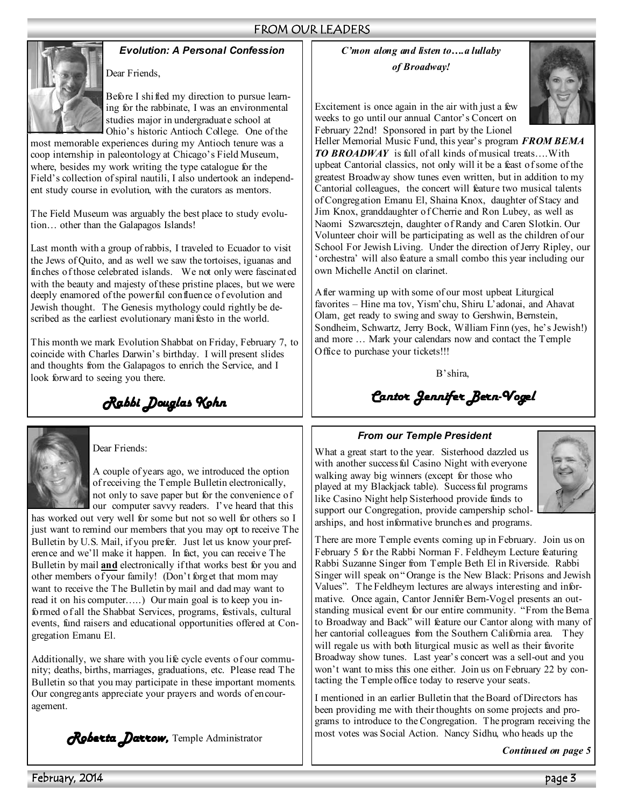### FROM OUR LEADERS



### *Evolution: A Personal Confession*

Before I shifted my direction to pursue learning for the rabbinate, I was an environmental studies major in undergraduate school at

Ohio's historic Antioch College. One of the most memorable experiences during my Antioch tenure was a coop internship in paleontology at Chicago's Field Museum, where, besides my work writing the type catalogue for the Field's collection of spiral nautili, I also undertook an independent study course in evolution, with the curators as mentors.

The Field Museum was arguably the best place to study evolution… other than the Galapagos Islands!

Last month with a group of rabbis, I traveled to Ecuador to visit the Jews of Quito, and as well we saw the tortoises, iguanas and finches of those celebrated islands. We not only were fascinated with the beauty and majesty of these pristine places, but we were deeply enamored of the powerful confluence of evolution and Jewish thought. The Genesis mythology could rightly be described as the earliest evolutionary manifesto in the world.

This month we mark Evolution Shabbat on Friday, February 7, to coincide with Charles Darwin's birthday. I will present slides and thoughts from the Galapagos to enrich the Service, and I look forward to seeing you there.

*Rabbi Douglas Kohn* 



### Dear Friends:

A couple of years ago, we introduced the option of receiving the Temple Bulletin electronically, not only to save paper but for the convenience of our computer savvy readers. I've heard that this

has worked out very well for some but not so well for others so I just want to remind our members that you may opt to receive The Bulletin by U.S. Mail, if you prefer. Just let us know your preference and we'll make it happen. In fact, you can receive The Bulletin by mail **and** electronically if that works best for you and other members of your family! (Don't forget that mom may want to receive the The Bulletin by mail and dad may want to read it on his computer…..) Our main goal is to keep you informed of all the Shabbat Services, programs, festivals, cultural events, fund raisers and educational opportunities offered at Congregation Emanu El.

Additionally, we share with you life cycle events of our community; deaths, births, marriages, graduations, etc. Please read The Bulletin so that you may participate in these important moments. Our congregants appreciate your prayers and words of encouragement.

*Roberta Darrow,* Temple Administrator

*C'mon along and listen to….a lullaby of Broadway!* 



Excitement is once again in the air with just a few weeks to go until our annual Cantor's Concert on February 22nd! Sponsored in part by the Lionel

Heller Memorial Music Fund, this year's program *FROM BEMA TO BROADWAY* is full of all kinds of musical treats….With upbeat Cantorial classics, not only will it be a feast of some of the greatest Broadway show tunes even written, but in addition to my Cantorial colleagues, the concert will feature two musical talents of Congregation Emanu El, Shaina Knox, daughter of Stacy and Jim Knox, granddaughter of Cherrie and Ron Lubey, as well as Naomi Szwarcsztejn, daughter of Randy and Caren Slotkin. Our Volunteer choir will be participating as well as the children of our School For Jewish Living. Under the direction of Jerry Ripley, our 'orchestra' will also feature a small combo this year including our own Michelle Anctil on clarinet.

After warming up with some of our most upbeat Liturgical favorites – Hine ma tov, Yism'chu, Shiru L'adonai, and Ahavat Olam, get ready to swing and sway to Gershwin, Bernstein, Sondheim, Schwartz, Jerry Bock, William Finn (yes, he's Jewish!) and more … Mark your calendars now and contact the Temple Office to purchase your tickets!!!

B'shira,

*Cantor Jennifer Bern- Cantor Jennifer Bern-Vogel*

### *From our Temple President*

What a great start to the year. Sisterhood dazzled us with another success ful Casino Night with everyone walking away big winners (except for those who played at my Blackjack table). Successful programs like Casino Night help Sisterhood provide funds to support our Congregation, provide campership scholarships, and host informative brunches and programs.



There are more Temple events coming up in February. Join us on February 5 for the Rabbi Norman F. Feldheym Lecture featuring Rabbi Suzanne Singer from Temple Beth El in Riverside. Rabbi Singer will speak on " Orange is the New Black: Prisons and Jewish Values". The Feldheym lectures are always interesting and informative. Once again, Cantor Jennifer Bern-Vogel presents an outstanding musical event for our entire community. "From the Bema to Broadway and Back" will feature our Cantor along with many of her cantorial colleagues from the Southern California area. They will regale us with both liturgical music as well as their favorite Broadway show tunes. Last year's concert was a sell-out and you won't want to miss this one either. Join us on February 22 by contacting the Temple office today to reserve your seats.

I mentioned in an earlier Bulletin that the Board of Directors has been providing me with their thoughts on some projects and programs to introduce to the Congregation. The program receiving the most votes was Social Action. Nancy Sidhu, who heads up the

*Continued on page 5*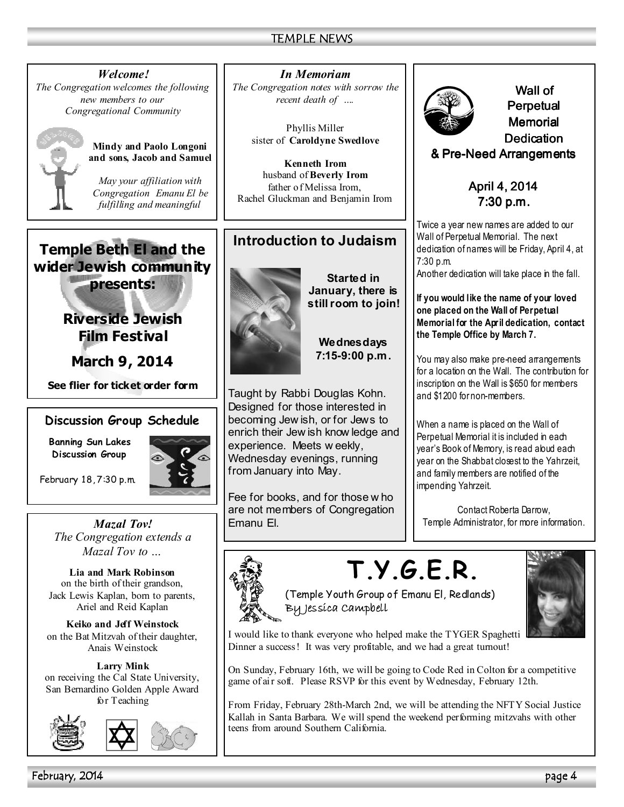*Welcome! The Congregation welcomes the following new members to our Congregational Community* 



**Mindy and Paolo Longoni and sons, Jacob and Samuel** 

*May your affiliation with Congregation Emanu El be fulfilling and meaningful*

# **Temple Beth El and the wider Jewish community**

**presents:** 

**Riverside Jewish Film Festival** 

**March 9, 2014** 

**See flier for ticket order form**

### **Discussion Group Schedule**

**Banning Sun Lakes Discussion Group** 

February 18, 7:30 p.m.

*Mazal Tov! The Congregation extends a Mazal Tov to …* 

**Lia and Mark Robinson**  on the birth of their grandson, Jack Lewis Kaplan, born to parents, Ariel and Reid Kaplan

**Keiko and Jeff Weinstock**  on the Bat Mitzvah of their daughter, Anais Weinstock

**Larry Mink**  on receiving the Cal State University, San Bernardino Golden Apple Award for Teaching





*In Memoriam The Congregation notes with sorrow the recent death of ….* 

> Phyllis Miller sister of **Caroldyne Swedlove**

**Kenneth Irom**  husband of **Beverly Irom** father of Melissa Irom, Rachel Gluckman and Benjamin Irom

# **Introduction to Judaism**



**Started in January, there is still room to join!** 

> **Wednesdays 7:15-9:00 p.m.**

Taught by Rabbi Douglas Kohn. Designed for those interested in becoming Jew ish, or for Jews to enrich their Jew ish know ledge and experience. Meets w eekly, Wednesday evenings, running from January into May.

Fee for books, and for those w ho are not members of Congregation Emanu El.



Wall of Perpetual **Memorial Dedication** & Pre-Need Arrangements

> April 4, 2014 7:30 p.m.

Twice a year new names are added to our Wall of Perpetual Memorial. The next dedication of names will be Friday, April 4, at 7:30 p.m.

Another dedication will take place in the fall.

**If you would like the name of your loved one placed on the Wall of Perpetual Memorial for the April dedication, contact the Temple Office by March 7.** 

You may also make pre-need arrangements for a location on the Wall. The contribution for inscription on the Wall is \$650 for members and \$1200 for non-members.

When a name is placed on the Wall of Perpetual Memorial it is included in each year's Book of Memory, is read aloud each year on the Shabbat closest to the Yahrzeit, and family members are notified of the impending Yahrzeit.

Contact Roberta Darrow, Temple Administrator, for more information.

# **T.Y.G.E.R.**



(Temple Youth Group of Emanu El, Redlands) By Jessica Campbell



I would like to thank everyone who helped make the TYGER Spaghetti Dinner a success! It was very profitable, and we had a great turnout!

On Sunday, February 16th, we will be going to Code Red in Colton for a competitive game of air soft. Please RSVP for this event by Wednesday, February 12th.

From Friday, February 28th-March 2nd, we will be attending the NFTY Social Justice Kallah in Santa Barbara. We will spend the weekend performing mitzvahs with other teens from around Southern California.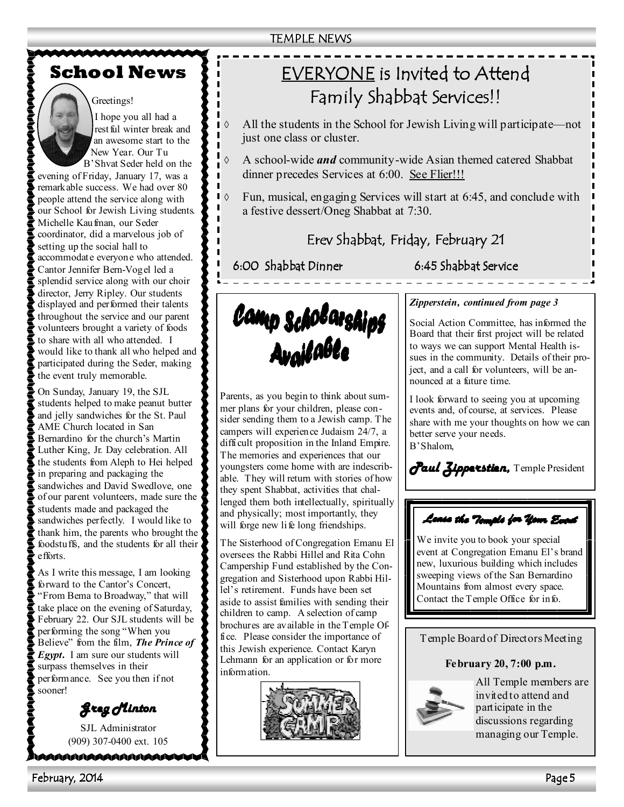### TEMPLE NEWS

# **School News**

### Greetings!

I hope you all had a rest ful winter break and an awesome start to the New Year. Our Tu B'Shvat Seder held on the

evening of Friday, January 17, was a remarkable success. We had over 80 people attend the service along with our School for Jewish Living students. Michelle Kaufman, our Seder coordinator, did a marvelous job of setting up the social hall to accommodate everyone who attended. Cantor Jennifer Bern-Vogel led a splendid service along with our choir director, Jerry Ripley. Our students displayed and performed their talents throughout the service and our parent volunteers brought a variety of foods to share with all who attended. I would like to thank all who helped and participated during the Seder, making the event truly memorable.

On Sunday, January 19, the SJL students helped to make peanut butter and jelly sandwiches for the St. Paul AME Church located in San Bernardino for the church's Martin Luther King, Jr. Day celebration. All the students from Aleph to Hei helped in preparing and packaging the sandwiches and David Swedlove, one of our parent volunteers, made sure the students made and packaged the sandwiches perfectly. I would like to thank him, the parents who brought the foodstuffs, and the students for all their efforts.

As I write this message, I am looking forward to the Cantor's Concert, "From Bema to Broadway," that will take place on the evening of Saturday, February 22. Our SJL students will be performing the song "When you Believe" from the film, *The Prince of Egypt***.** I am sure our students will surpass themselves in their performance. See you then if not sooner!

*Greg Minton Greg Minton* 

SJL Administrator (909) 307-0400 ext. 105

\\\\\\\\\\\\\\\\\\\\\\\\

# EVERYONE is Invited to Attend Family Shabbat Services!!

- All the students in the School for Jewish Living will participate—not just one class or cluster.
- ◊ A school-wide *and* community-wide Asian themed catered Shabbat dinner precedes Services at 6:00. See Flier!!!
- ◊ Fun, musical, engaging Services will start at 6:45, and conclude with a festive dessert/Oneg Shabbat at 7:30.

# Erev Shabbat, Friday, February 21

6:00 Shabbat Dinner 6:45 Shabbat Service



Parents, as you begin to think about summer plans for your children, please consider sending them to a Jewish camp. The campers will experience Judaism 24/7, a difficult proposition in the Inland Empire. The memories and experiences that our youngsters come home with are indescribable. They will return with stories of how they spent Shabbat, activities that challenged them both intellectually, spiritually and physically; most importantly, they will forge new life long friendships.

The Sisterhood of Congregation Emanu El oversees the Rabbi Hillel and Rita Cohn Campership Fund established by the Congregation and Sisterhood upon Rabbi Hillel's retirement. Funds have been set aside to assist families with sending their children to camp. A selection of camp brochures are available in the Temple Office. Please consider the importance of this Jewish experience. Contact Karyn Lehmann for an application or for more information.



### *Zipperstein, continued from page 3*

Social Action Committee, has informed the Board that their first project will be related to ways we can support Mental Health issues in the community. Details of their project, and a call for volunteers, will be announced at a future time.

I look forward to seeing you at upcoming events and, of course, at services. Please share with me your thoughts on how we can better serve your needs. B'Shalom,

*Paul Zipperstien,* Temple President

# Lease the Temple for Your Eccal

We invite you to book your special event at Congregation Emanu El's brand new, luxurious building which includes sweeping views of the San Bernardino Mountains from almost every space. Contact the Temple Office for info.

Temple Board of Directors Meeting

**February 20, 7:00 p.m.** 



All Temple members are invited to attend and participate in the discussions regarding managing our Temple.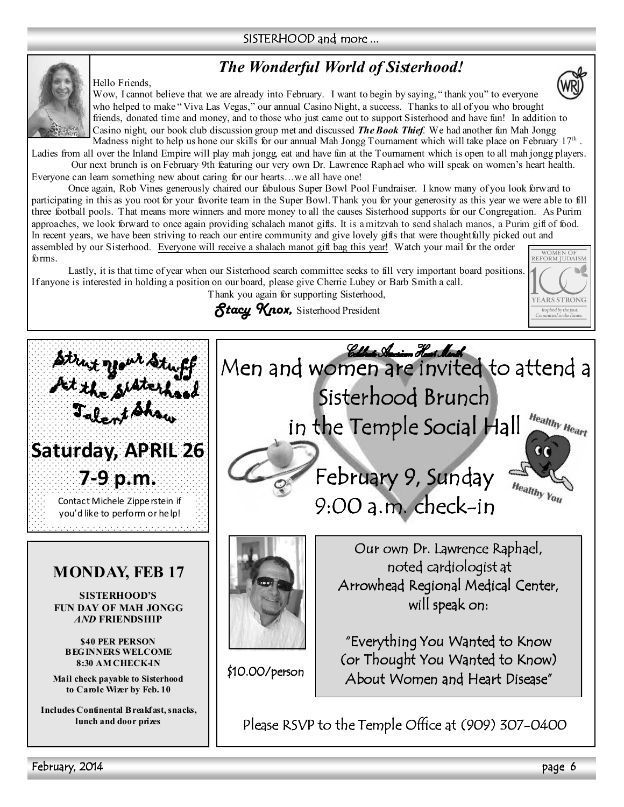### SISTERHOOD and more ...

# *The Wonderful World of Sisterhood!*



Hello Friends,

Wow, I cannot believe that we are already into February. I want to begin by saying, " thank you" to everyone who helped to make "Viva Las Vegas," our annual Casino Night, a success. Thanks to all of you who brought friends, donated time and money, and to those who just came out to support Sisterhood and have fun! In addition to Casino night, our book club discussion group met and discussed *The Book Thief*. We had another fun Mah Jongg Madness night to help us hone our skills for our annual Mah Jongg Tournament which will take place on February  $17<sup>th</sup>$ .

Ladies from all over the Inland Empire will play mah jongg, eat and have fun at the Tournament which is open to all mah jongg players. Our next brunch is on February 9th featuring our very own Dr. Lawrence Raphael who will speak on women's heart health.

Everyone can learn something new about caring for our hearts...we all have one!

Once again, Rob Vines generously chaired our fabulous Super Bowl Pool Fundraiser. I know many of you look forward to participating in this as you root for your favorite team in the Super Bowl. Thank you for your generosity as this year we were able to fill three football pools. That means more winners and more money to all the causes Sisterhood supports for our Congregation. As Purim approaches, we look forward to once again providing schalach manot gifts. It is a mitzvah to send shalach manos, a Purim gift of food. In recent years, we have been striving to reach our entire community and give lovely gifts that were thoughtfully picked out and assembled by our Sisterhood. Everyone will receive a shalach manot gift bag this year! Watch your mail for the order

forms. Lastly, it is that time of year when our Sisterhood search committee seeks to fill very important board positions. If anyone is interested in holding a position on our board, please give Cherrie Lubey or Barb Smith a call. Thank you again for supporting Sisterhood,

*Stacy Knox,* Sisterhood President



# **MONDAY, FEB 17**

**SISTERHOOD'S FUN DAY OF MAH JONGG** *AND* **FRIENDSHIP** 

**\$40 PER PERSON BEGINNERS WELCOME 8:30 AM CHECK-IN** 

**Mail check payable to Sisterhood to Carole Wizer by Feb. 10** 

**Includes Continental Breakfast, snacks, lunch and door prizes** 



Please RSVP to the Temple Office at (909) 307-0400

**YEARS STRONG** Inspired by the past.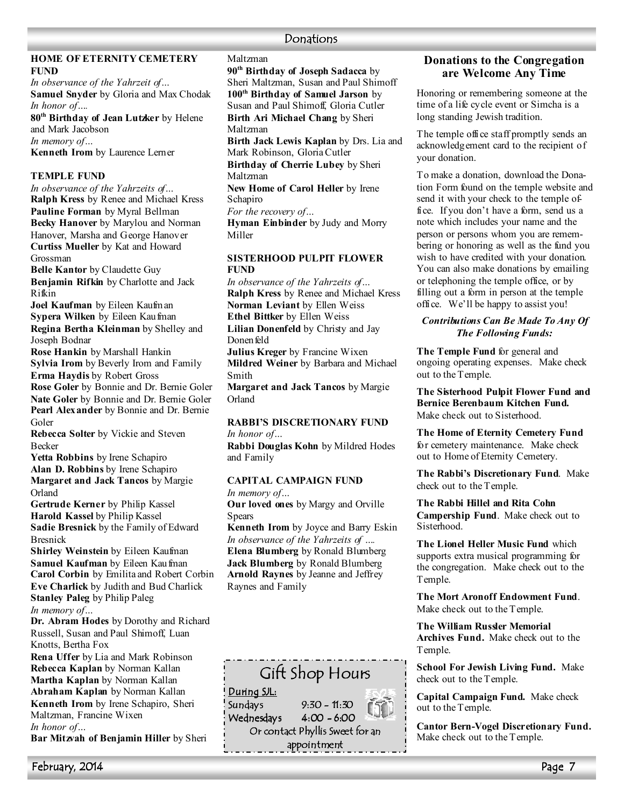### **Donations**

### **HOME OF ETERNITY CEMETERY FUND**

*In observance of the Yahrzeit of…*  **Samuel Snyder** by Gloria and Max Chodak *In honor of….* 

**80th Birthday of Jean Lutzker** by Helene and Mark Jacobson *In memory of…*  **Kenneth Irom** by Laurence Lerner

### **TEMPLE FUND**

*In observance of the Yahrzeits of…*  **Ralph Kress** by Renee and Michael Kress **Pauline Forman** by Myral Bellman **Becky Hanover** by Marylou and Norman Hanover, Marsha and George Hanover **Curtiss Mueller** by Kat and Howard Grossman

**Belle Kantor** by Claudette Guy **Benjamin Rifkin** by Charlotte and Jack Rifkin

**Joel Kaufman** by Eileen Kaufman **Sypera Wilken** by Eileen Kaufman **Regina Bertha Kleinman** by Shelley and Joseph Bodnar

**Rose Hankin** by Marshall Hankin **Sylvia Irom** by Beverly Irom and Family **Erma Haydis** by Robert Gross

**Rose Goler** by Bonnie and Dr. Bernie Goler Nate Goler by Bonnie and Dr. Bernie Goler **Pearl Alexander** by Bonnie and Dr. Bernie Goler

**Rebecca Solter** by Vickie and Steven Becker

**Yetta Robbins** by Irene Schapiro **Alan D. Robbins** by Irene Schapiro **Margaret and Jack Tancos** by Margie Orland

**Gertrude Kerner** by Philip Kassel **Harold Kassel** by Philip Kassel **Sadie Bresnick** by the Family of Edward Bresnick

**Shirley Weinstein** by Eileen Kaufman **Samuel Kaufman** by Eileen Kaufman **Carol Corbin** by Emilita and Robert Corbin **Eve Charlick** by Judith and Bud Charlick **Stanley Paleg** by Philip Paleg *In memory of…* 

**Dr. Abram Hodes** by Dorothy and Richard Russell, Susan and Paul Shimoff, Luan Knotts, Bertha Fox

**Rena Uffer** by Lia and Mark Robinson **Rebecca Kaplan** by Norman Kallan **Martha Kaplan** by Norman Kallan **Abraham Kaplan** by Norman Kallan **Kenneth Irom** by Irene Schapiro, Sheri Maltzman, Francine Wixen *In honor of…* 

**Bar Mitzvah of Benjamin Hiller** by Sheri

**90th Birthday of Joseph Sadacca** by Sheri Maltzman, Susan and Paul Shimoff **100th Birthday of Samuel Jarson** by Susan and Paul Shimoff, Gloria Cutler **Birth Ari Michael Chang** by Sheri Maltzman

**Birth Jack Lewis Kaplan** by Drs. Lia and Mark Robinson, Gloria Cutler

**Birthday of Cherrie Lubey** by Sheri Maltzman

**New Home of Carol Heller** by Irene **Schapiro** 

*For the recovery of…* 

Maltzman

**Hyman Einbinder** by Judy and Morry Miller

#### **SISTERHOOD PULPIT FLOWER FU,D**

*In observance of the Yahrzeits of…* **Ralph Kress** by Renee and Michael Kress **Norman Leviant** by Ellen Weiss **Ethel Bittker** by Ellen Weiss

**Lilian Donenfeld** by Christy and Jay Donen feld

**Julius Kreger** by Francine Wixen **Mildred Weiner** by Barbara and Michael Smith

**Margaret and Jack Tancos** by Margie Orland

### **RABBI'S DISCRETIONARY FUND** *In honor of…*

**Rabbi Douglas Kohn** by Mildred Hodes and Family

### **CAPITAL CAMPAIGN FUND**

*In memory of…* 

**Our loved ones** by Margy and Orville **Spears** 

**Kenneth Irom** by Joyce and Barry Eskin *In observance of the Yahrzeits of ….*  **Elena Blumberg** by Ronald Blumberg **Jack Blumberg** by Ronald Blumberg **Arnold Raynes** by Jeanne and Jeffrey Raynes and Family



### **Donations to the Congregation are Welcome Any Time**

Honoring or remembering someone at the time of a life cycle event or Simcha is a long standing Jewish tradition.

The temple office staff promptly sends an acknowledgement card to the recipient of your donation.

To make a donation, download the Donation Form found on the temple website and send it with your check to the temple office. If you don't have a form, send us a note which includes your name and the person or persons whom you are remembering or honoring as well as the fund you wish to have credited with your donation. You can also make donations by emailing or telephoning the temple office, or by filling out a form in person at the temple office. We'll be happy to assist you!

### *Contributions Can Be Made To Any Of The Following Funds:*

**The Temple Fund** for general and ongoing operating expenses. Make check out to the Temple.

**The Sisterhood Pulpit Flower Fund and Bernice Berenbaum Kitchen Fund.**  Make check out to Sisterhood.

**The Home of Eternity Cemetery Fund**  for cemetery maintenance. Make check out to Home of Eternity Cemetery.

**The Rabbi's Discretionary Fund**. Make check out to the Temple.

**The Rabbi Hillel and Rita Cohn Campership Fund**. Make check out to Sisterhood.

**The Lionel Heller Music Fund** which supports extra musical programming for the congregation. Make check out to the Temple.

**The Mort Aronoff Endowment Fund**. Make check out to the Temple.

**The William Russler Memorial Archives Fund.** Make check out to the Temple.

**School For Jewish Living Fund.** Make check out to the Temple.

**Capital Campaign Fund.** Make check out to the Temple.

**Cantor Bern-Vogel Discretionary Fund.**  Make check out to the Temple.